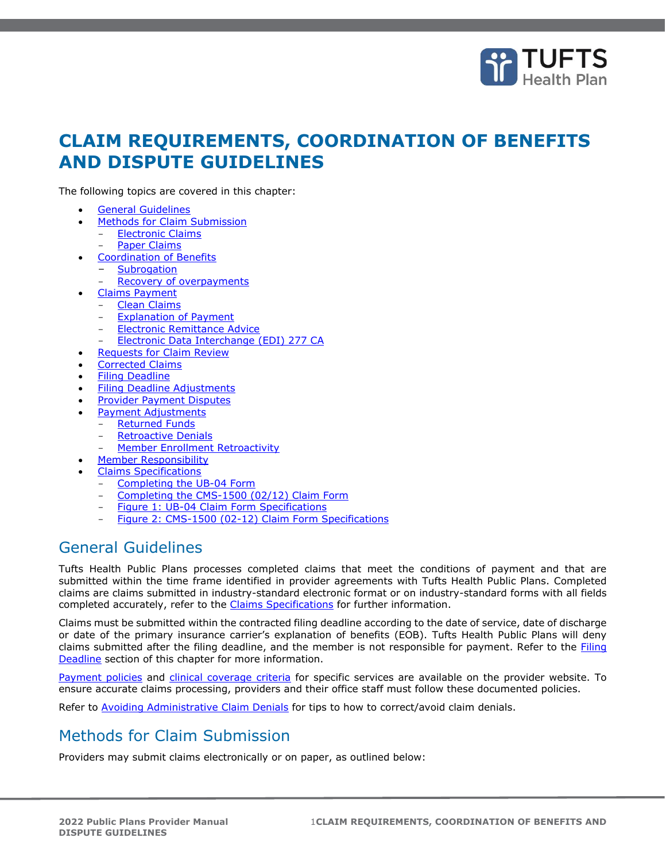

# **CLAIM REQUIREMENTS, COORDINATION OF BENEFITS AND DISPUTE GUIDELINES**

The following topics are covered in this chapter:

- [General Guidelines](#page-0-0)
- [Methods for Claim Submission](#page-0-1)
	- **[Electronic Claims](#page-1-0)**
	- [Paper Claims](#page-2-0)
- [Coordination of Benefits](#page-3-0)
	- **[Subrogation](#page-3-1)**
	- [Recovery of overpayments](#page-3-2)
- [Claims Payment](#page-3-0)
	- **[Clean Claims](#page-4-0)**
	- **[Explanation of Payment](#page-4-1)**
	- [Electronic Remittance Advice](#page-4-2)
	- [Electronic Data Interchange \(EDI\) 277 CA](#page-4-3)
- **[Requests for Claim Review](#page-5-0)**
- [Corrected Claims](#page-5-1)
- [Filing Deadline](#page-5-2)
- [Filing Deadline Adjustments](#page-6-0)
- **[Provider Payment Disputes](#page-6-1)**
- [Payment Adjustments](#page-7-0)
- [Returned Funds](#page-7-1)
	- **[Retroactive Denials](#page-7-2)** 
		- [Member Enrollment Retroactivity](#page-7-3)
- [Member Responsibility](#page-7-4)
- [Claims Specifications](#page-8-0)
	- [Completing the UB-04 Form](#page-8-1)
	- [Completing the CMS-1500 \(02/12\) Claim Form](#page-8-2)
	- [Figure 1: UB-04 Claim Form Specifications](#page-9-0)
	- [Figure 2: CMS-1500 \(02-12\) Claim Form Specifications](#page-12-0)

## <span id="page-0-0"></span>General Guidelines

Tufts Health Public Plans processes completed claims that meet the conditions of payment and that are submitted within the time frame identified in provider agreements with Tufts Health Public Plans. Completed claims are claims submitted in industry-standard electronic format or on industry-standard forms with all fields completed accurately, refer to the [Claims Specifications](#page-8-0) for further information.

Claims must be submitted within the contracted filing deadline according to the date of service, date of discharge or date of the primary insurance carrier's explanation of benefits (EOB). Tufts Health Public Plans will deny claims submitted after the filing deadline, and the member is not responsible for payment. Refer to the *Filing* [Deadline](#page-5-2) section of this chapter for more information.

[Payment policies](https://tuftshealthplan.com/provider/payment-policies) and [clinical coverage criteria](https://tuftshealthplan.com/provider/resource-center/resource-center#?d=1a41c0|39dfde|845238|401109|c32f08&c=4e895e) for specific services are available on the provider website. To ensure accurate claims processing, providers and their office staff must follow these documented policies.

Refer to [Avoiding Administrative Claim Denials](https://tuftshealthplan.com/documents/providers/payment-policies/avoiding-administrative-claim-denials) for tips to how to correct/avoid claim denials.

## <span id="page-0-1"></span>Methods for Claim Submission

Providers may submit claims electronically or on paper, as outlined below: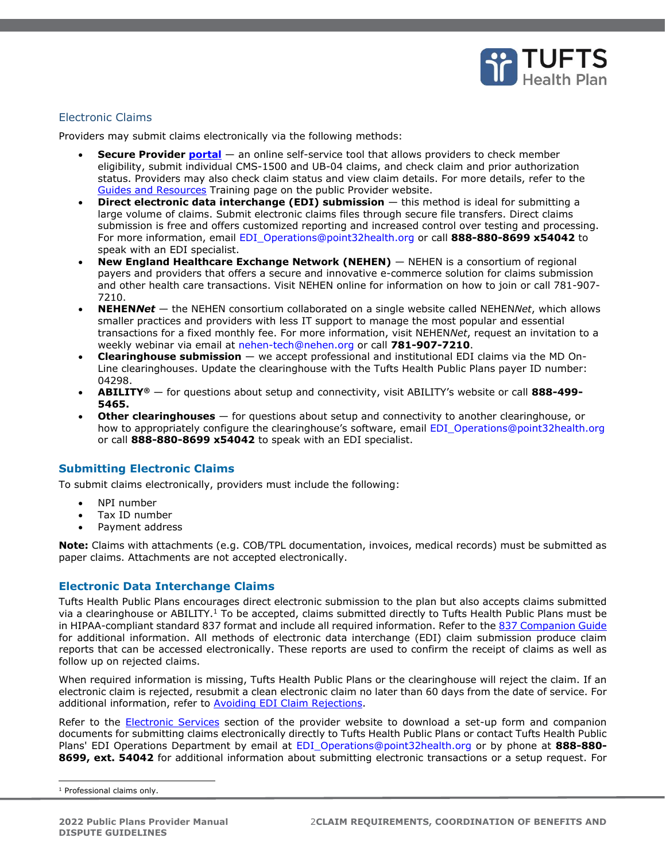

## <span id="page-1-0"></span>Electronic Claims

Providers may submit claims electronically via the following methods:

- **Secure Provider [portal](https://tuftshealthplan.com/login)** an online self-service tool that allows providers to check member eligibility, submit individual CMS-1500 and UB-04 claims, and check claim and prior authorization status. Providers may also check claim status and view claim details. For more details, refer to the [Guides and Resources](https://tuftshealthplan.com/provider/training/guides-and-resources) Training page on the public Provider website.
- **Direct electronic data interchange (EDI) submission** this method is ideal for submitting a large volume of claims. Submit electronic claims files through secure file transfers. Direct claims submission is free and offers customized reporting and increased control over testing and processing. For more information, email [EDI\\_Operations@point32health.org](mailto:EDI_Operations@point32health.org) or call **888-880-8699 x54042** to speak with an EDI specialist.
- **New England Healthcare Exchange Network (NEHEN)** NEHEN is a consortium of regional payers and providers that offers a secure and innovative e-commerce solution for claims submission and other health care transactions. Visit NEHEN online for information on how to join or call 781-907- 7210.
- **NEHEN***Net* the NEHEN consortium collaborated on a single website called NEHEN*Net*, which allows smaller practices and providers with less IT support to manage the most popular and essential transactions for a fixed monthly fee. For more information, visit NEHEN*Net*, request an invitation to a weekly webinar via email at [nehen-tech@nehen.org](mailto:nehen-tech@nehen.org) or call **781-907-7210**.
- **Clearinghouse submission** we accept professional and institutional EDI claims via the MD On-Line clearinghouses. Update the clearinghouse with the Tufts Health Public Plans payer ID number: 04298.
- **ABILITY®** for questions about setup and connectivity, visit ABILITY's website or call **888-499- 5465.**
- **Other clearinghouses** for questions about setup and connectivity to another clearinghouse, or how to appropriately configure the clearinghouse's software, email EDI Operations@point32health.org or call **888-880-8699 x54042** to speak with an EDI specialist.

### **Submitting Electronic Claims**

To submit claims electronically, providers must include the following:

- NPI number
- Tax ID number
- Payment address

**Note:** Claims with attachments (e.g. COB/TPL documentation, invoices, medical records) must be submitted as paper claims. Attachments are not accepted electronically.

#### **Electronic Data Interchange Claims**

Tufts Health Public Plans encourages direct electronic submission to the plan but also accepts claims submitted via a clearinghouse or ABILITY.<sup>1</sup> To be accepted, claims submitted directly to Tufts Health Public Plans must be in HIPAA-compliant standard 837 format and include all required information. Refer to the [837 Companion Guide](http://tuftshealthplan.com/documents/providers/guides/837-health-care-institutional-professi) for additional information. All methods of electronic data interchange (EDI) claim submission produce claim reports that can be accessed electronically. These reports are used to confirm the receipt of claims as well as follow up on rejected claims.

When required information is missing, Tufts Health Public Plans or the clearinghouse will reject the claim. If an electronic claim is rejected, resubmit a clean electronic claim no later than 60 days from the date of service. For additional information, refer to [Avoiding EDI Claim Rejections.](https://tuftshealthplan.com/documents/providers/payment-policies/avoiding-electronic-data-interchange-cla)

Refer to the [Electronic Services](https://tuftshealthplan.com/provider/electronic-services) section of the provider website to download a set-up form and companion documents for submitting claims electronically directly to Tufts Health Public Plans or contact Tufts Health Public Plans' EDI Operations Department by email at [EDI\\_Operations@point32health.org](mailto:EDI_Operations@point32health.org) or by phone at **888-880- 8699, ext. 54042** for additional information about submitting electronic transactions or a setup request. For

<sup>&</sup>lt;sup>1</sup> Professional claims only.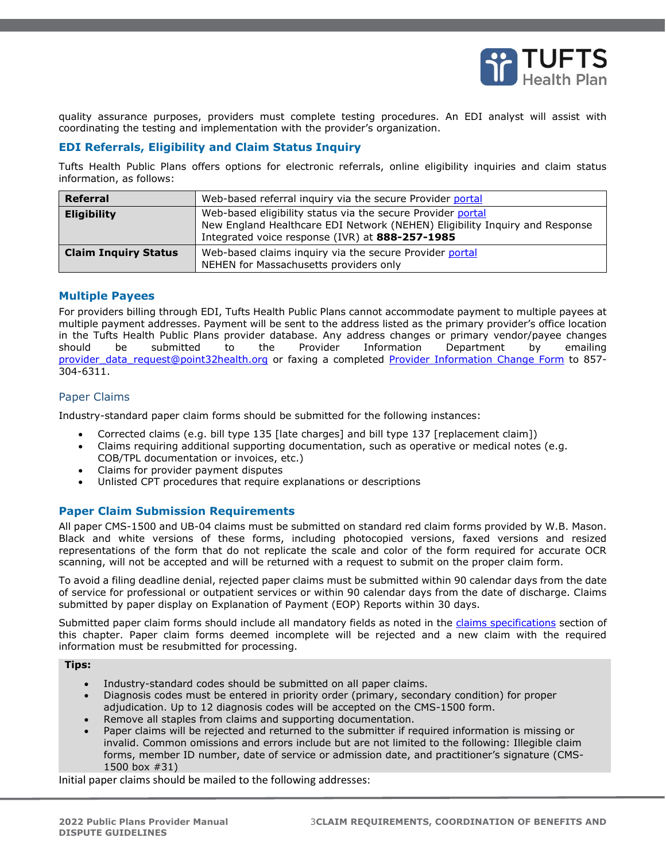

quality assurance purposes, providers must complete testing procedures. An EDI analyst will assist with coordinating the testing and implementation with the provider's organization.

## **EDI Referrals, Eligibility and Claim Status Inquiry**

Tufts Health Public Plans offers options for electronic referrals, online eligibility inquiries and claim status information, as follows:

| Referral                    | Web-based referral inquiry via the secure Provider portal                                                                                                                                     |
|-----------------------------|-----------------------------------------------------------------------------------------------------------------------------------------------------------------------------------------------|
| <b>Eligibility</b>          | Web-based eligibility status via the secure Provider portal<br>New England Healthcare EDI Network (NEHEN) Eligibility Inquiry and Response<br>Integrated voice response (IVR) at 888-257-1985 |
| <b>Claim Inquiry Status</b> | Web-based claims inquiry via the secure Provider portal<br>NEHEN for Massachusetts providers only                                                                                             |

#### **Multiple Payees**

For providers billing through EDI, Tufts Health Public Plans cannot accommodate payment to multiple payees at multiple payment addresses. Payment will be sent to the address listed as the primary provider's office location in the Tufts Health Public Plans provider database. Any address changes or primary vendor/payee changes should be submitted to the Provider Information Department by emailing [provider\\_data\\_request@point32health.org](mailto:provider_data_request@point32health.org) or faxing a completed [Provider Information Change Form](https://tuftshealthplan.com/documents/providers/forms/thpp_provider-information-form-medical-provi) to 857-304-6311.

#### <span id="page-2-0"></span>Paper Claims

Industry-standard paper claim forms should be submitted for the following instances:

- Corrected claims (e.g. bill type 135 [late charges] and bill type 137 [replacement claim])
- Claims requiring additional supporting documentation, such as operative or medical notes (e.g. COB/TPL documentation or invoices, etc.)
- Claims for provider payment disputes
- Unlisted CPT procedures that require explanations or descriptions

### **Paper Claim Submission Requirements**

All paper CMS-1500 and UB-04 claims must be submitted on standard red claim forms provided by W.B. Mason. Black and white versions of these forms, including photocopied versions, faxed versions and resized representations of the form that do not replicate the scale and color of the form required for accurate OCR scanning, will not be accepted and will be returned with a request to submit on the proper claim form.

To avoid a filing deadline denial, rejected paper claims must be submitted within 90 calendar days from the date of service for professional or outpatient services or within 90 calendar days from the date of discharge. Claims submitted by paper display on Explanation of Payment (EOP) Reports within 30 days.

Submitted paper claim forms should include all mandatory fields as noted in the [claims specifications](#page-8-0) section of this chapter. Paper claim forms deemed incomplete will be rejected and a new claim with the required information must be resubmitted for processing.

#### **Tips:**

- Industry-standard codes should be submitted on all paper claims.
- Diagnosis codes must be entered in priority order (primary, secondary condition) for proper adjudication. Up to 12 diagnosis codes will be accepted on the CMS-1500 form.
- Remove all staples from claims and supporting documentation.
- Paper claims will be rejected and returned to the submitter if required information is missing or invalid. Common omissions and errors include but are not limited to the following: Illegible claim forms, member ID number, date of service or admission date, and practitioner's signature (CMS-1500 box #31)

Initial paper claims should be mailed to the following addresses: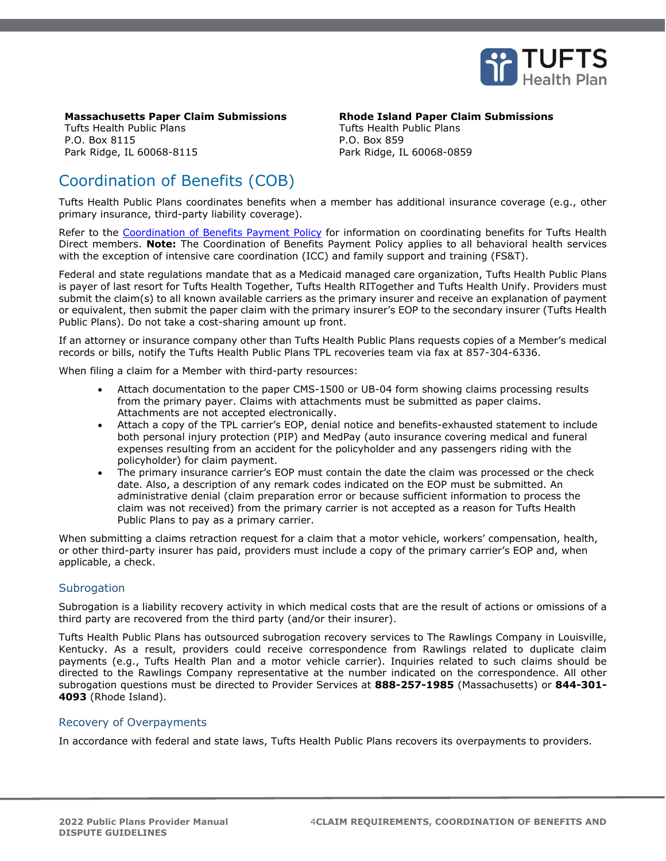

## **Massachusetts Paper Claim Submissions Rhode Island Paper Claim Submissions**

Tufts Health Public Plans P.O. Box 8115 Park Ridge, IL 60068-8115 Tufts Health Public Plans P.O. Box 859 Park Ridge, IL 60068-0859

# <span id="page-3-0"></span>Coordination of Benefits (COB)

Tufts Health Public Plans coordinates benefits when a member has additional insurance coverage (e.g., other primary insurance, third-party liability coverage).

Refer to the [Coordination of Benefits Payment Policy](https://tuftshealthplan.com/documents/providers/payment-policies/coordination-of-benefits-policy-paymen) for information on coordinating benefits for Tufts Health Direct members. **Note:** The Coordination of Benefits Payment Policy applies to all behavioral health services with the exception of intensive care coordination (ICC) and family support and training (FS&T).

Federal and state regulations mandate that as a Medicaid managed care organization, Tufts Health Public Plans is payer of last resort for Tufts Health Together, Tufts Health RITogether and Tufts Health Unify. Providers must submit the claim(s) to all known available carriers as the primary insurer and receive an explanation of payment or equivalent, then submit the paper claim with the primary insurer's EOP to the secondary insurer (Tufts Health Public Plans). Do not take a cost-sharing amount up front.

If an attorney or insurance company other than Tufts Health Public Plans requests copies of a Member's medical records or bills, notify the Tufts Health Public Plans TPL recoveries team via fax at 857-304-6336.

When filing a claim for a Member with third-party resources:

- Attach documentation to the paper CMS-1500 or UB-04 form showing claims processing results from the primary payer. Claims with attachments must be submitted as paper claims. Attachments are not accepted electronically.
- Attach a copy of the TPL carrier's EOP, denial notice and benefits-exhausted statement to include both personal injury protection (PIP) and MedPay (auto insurance covering medical and funeral expenses resulting from an accident for the policyholder and any passengers riding with the policyholder) for claim payment.
- The primary insurance carrier's EOP must contain the date the claim was processed or the check date. Also, a description of any remark codes indicated on the EOP must be submitted. An administrative denial (claim preparation error or because sufficient information to process the claim was not received) from the primary carrier is not accepted as a reason for Tufts Health Public Plans to pay as a primary carrier.

When submitting a claims retraction request for a claim that a motor vehicle, workers' compensation, health, or other third-party insurer has paid, providers must include a copy of the primary carrier's EOP and, when applicable, a check.

#### <span id="page-3-1"></span>**Subrogation**

Subrogation is a liability recovery activity in which medical costs that are the result of actions or omissions of a third party are recovered from the third party (and/or their insurer).

Tufts Health Public Plans has outsourced subrogation recovery services to The Rawlings Company in Louisville, Kentucky. As a result, providers could receive correspondence from Rawlings related to duplicate claim payments (e.g., Tufts Health Plan and a motor vehicle carrier). Inquiries related to such claims should be directed to the Rawlings Company representative at the number indicated on the correspondence. All other subrogation questions must be directed to Provider Services at **888-257-1985** (Massachusetts) or **844-301- 4093** (Rhode Island).

#### <span id="page-3-2"></span>Recovery of Overpayments

In accordance with federal and state laws, Tufts Health Public Plans recovers its overpayments to providers.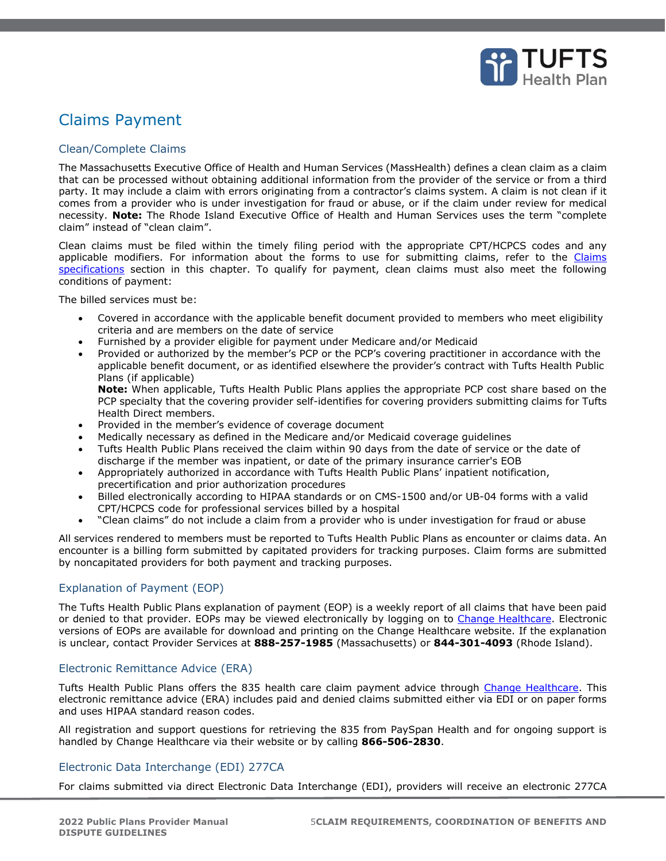

# Claims Payment

### <span id="page-4-0"></span>Clean/Complete Claims

The Massachusetts Executive Office of Health and Human Services (MassHealth) defines a clean claim as a claim that can be processed without obtaining additional information from the provider of the service or from a third party. It may include a claim with errors originating from a contractor's claims system. A claim is not clean if it comes from a provider who is under investigation for fraud or abuse, or if the claim under review for medical necessity. **Note:** The Rhode Island Executive Office of Health and Human Services uses the term "complete claim" instead of "clean claim".

Clean claims must be filed within the timely filing period with the appropriate CPT/HCPCS codes and any applicable modifiers. For information about the forms to use for submitting claims, refer to the Claims [specifications](#page-8-0) section in this chapter. To qualify for payment, clean claims must also meet the following conditions of payment:

The billed services must be:

- Covered in accordance with the applicable benefit document provided to members who meet eligibility criteria and are members on the date of service
- Furnished by a provider eligible for payment under Medicare and/or Medicaid
- Provided or authorized by the member's PCP or the PCP's covering practitioner in accordance with the applicable benefit document, or as identified elsewhere the provider's contract with Tufts Health Public Plans (if applicable)

**Note:** When applicable, Tufts Health Public Plans applies the appropriate PCP cost share based on the PCP specialty that the covering provider self-identifies for covering providers submitting claims for Tufts Health Direct members.

- Provided in the member's evidence of coverage document
- Medically necessary as defined in the Medicare and/or Medicaid coverage guidelines
- Tufts Health Public Plans received the claim within 90 days from the date of service or the date of discharge if the member was inpatient, or date of the primary insurance carrier's EOB
- Appropriately authorized in accordance with Tufts Health Public Plans' inpatient notification, precertification and prior authorization procedures
- Billed electronically according to HIPAA standards or on CMS-1500 and/or UB-04 forms with a valid CPT/HCPCS code for professional services billed by a hospital
- "Clean claims" do not include a claim from a provider who is under investigation for fraud or abuse

All services rendered to members must be reported to Tufts Health Public Plans as encounter or claims data. An encounter is a billing form submitted by capitated providers for tracking purposes. Claim forms are submitted by noncapitated providers for both payment and tracking purposes.

### <span id="page-4-1"></span>Explanation of Payment (EOP)

The Tufts Health Public Plans explanation of payment (EOP) is a weekly report of all claims that have been paid or denied to that provider. EOPs may be viewed electronically by logging on to [Change Healthcare.](https://cas.emdeon.com/logon.jsp) Electronic versions of EOPs are available for download and printing on the Change Healthcare website. If the explanation is unclear, contact Provider Services at **888-257-1985** (Massachusetts) or **844-301-4093** (Rhode Island).

#### <span id="page-4-2"></span>Electronic Remittance Advice (ERA)

Tufts Health Public Plans offers the 835 health care claim payment advice through [Change Healthcare.](https://www.changehealthcare.com/login) This electronic remittance advice (ERA) includes paid and denied claims submitted either via EDI or on paper forms and uses HIPAA standard reason codes.

All registration and support questions for retrieving the 835 from PaySpan Health and for ongoing support is handled by Change Healthcare via their website or by calling **866-506-2830**.

### <span id="page-4-3"></span>Electronic Data Interchange (EDI) 277CA

For claims submitted via direct Electronic Data Interchange (EDI), providers will receive an electronic 277CA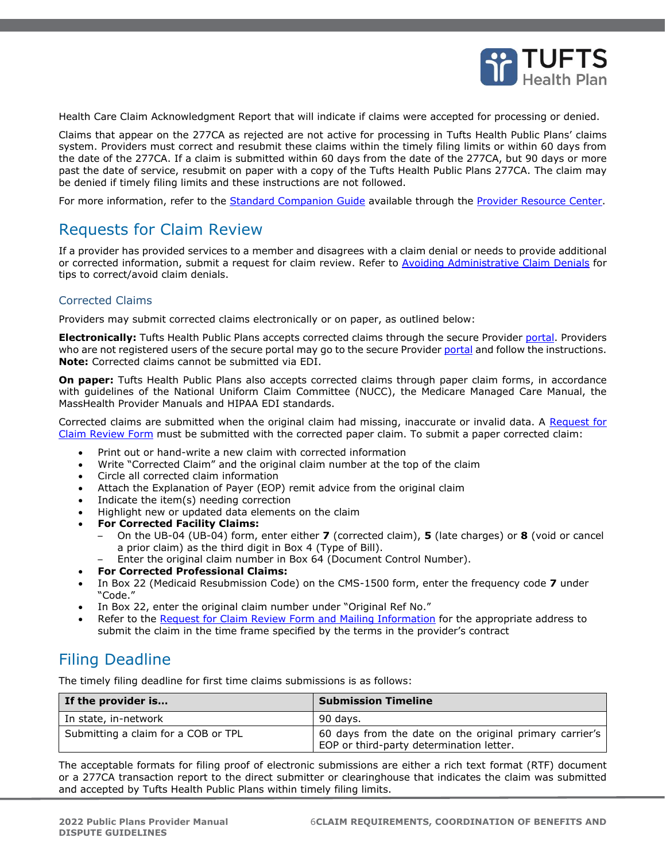

Health Care Claim Acknowledgment Report that will indicate if claims were accepted for processing or denied.

Claims that appear on the 277CA as rejected are not active for processing in Tufts Health Public Plans' claims system. Providers must correct and resubmit these claims within the timely filing limits or within 60 days from the date of the 277CA. If a claim is submitted within 60 days from the date of the 277CA, but 90 days or more past the date of service, resubmit on paper with a copy of the Tufts Health Public Plans 277CA. The claim may be denied if timely filing limits and these instructions are not followed.

For more information, refer to the **[Standard Companion Guide](https://tuftshealthplan.com/documents/providers/guides/277ca-health-care-claim-acknowledgement) available through the [Provider Resource Center.](https://tuftshealthplan.com/provider/resource-center#///Please_Select_a_Division//)** 

## <span id="page-5-0"></span>Requests for Claim Review

If a provider has provided services to a member and disagrees with a claim denial or needs to provide additional or corrected information, submit a request for claim review. Refer to [Avoiding Administrative Claim Denials](https://tuftshealthplan.com/documents/providers/payment-policies/avoiding-administrative-claim-denials) for tips to correct/avoid claim denials.

#### <span id="page-5-1"></span>Corrected Claims

Providers may submit corrected claims electronically or on paper, as outlined below:

**Electronically:** Tufts Health Public Plans accepts corrected claims through the secure Provider [portal.](https://tuftshealthplan.com/login) Providers who are not registered users of the secure [portal](https://tuftshealthplan.com/login) may go to the secure Provider portal and follow the instructions. **Note:** Corrected claims cannot be submitted via EDI.

**On paper:** Tufts Health Public Plans also accepts corrected claims through paper claim forms, in accordance with guidelines of the National Uniform Claim Committee (NUCC), the Medicare Managed Care Manual, the MassHealth Provider Manuals and HIPAA EDI standards.

Corrected claims are submitted when the original claim had missing, inaccurate or invalid data. A [Request for](https://www.hcasma.org/attach/Interactive-appeal-form-final-aug-2013.pdf)  [Claim Review Form](https://www.hcasma.org/attach/Interactive-appeal-form-final-aug-2013.pdf) must be submitted with the corrected paper claim. To submit a paper corrected claim:

- Print out or hand-write a new claim with corrected information
- Write "Corrected Claim" and the original claim number at the top of the claim
- Circle all corrected claim information
- Attach the Explanation of Payer (EOP) remit advice from the original claim
- Indicate the item(s) needing correction
- Highlight new or updated data elements on the claim
- **For Corrected Facility Claims:** 
	- On the UB-04 (UB-04) form, enter either **7** (corrected claim), **5** (late charges) or **8** (void or cancel a prior claim) as the third digit in Box 4 (Type of Bill).
	- Enter the original claim number in Box 64 (Document Control Number).
- **For Corrected Professional Claims:**
- In Box 22 (Medicaid Resubmission Code) on the CMS-1500 form, enter the frequency code **7** under "Code."
- In Box 22, enter the original claim number under "Original Ref No."
- Refer to the [Request for Claim Review Form and Mailing Information](https://tuftshealthplan.com/documents/providers/forms/request-for-claim-review-form) for the appropriate address to submit the claim in the time frame specified by the terms in the provider's contract

## <span id="page-5-2"></span>Filing Deadline

The timely filing deadline for first time claims submissions is as follows:

| If the provider is                  | <b>Submission Timeline</b>                                                                          |
|-------------------------------------|-----------------------------------------------------------------------------------------------------|
| In state, in-network                | 90 days.                                                                                            |
| Submitting a claim for a COB or TPL | 60 days from the date on the original primary carrier's<br>EOP or third-party determination letter. |

The acceptable formats for filing proof of electronic submissions are either a rich text format (RTF) document or a 277CA transaction report to the direct submitter or clearinghouse that indicates the claim was submitted and accepted by Tufts Health Public Plans within timely filing limits.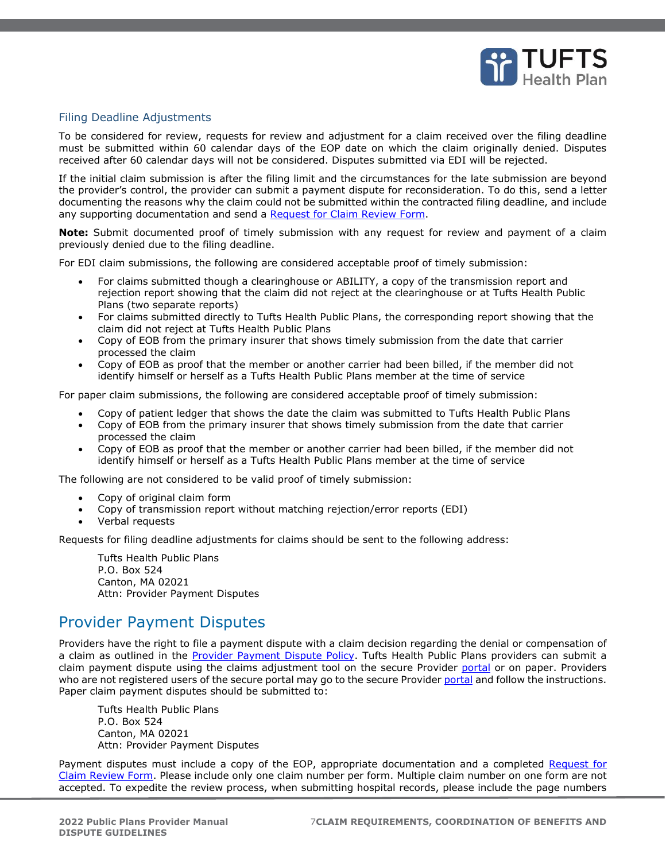

#### <span id="page-6-0"></span>Filing Deadline Adjustments

To be considered for review, requests for review and adjustment for a claim received over the filing deadline must be submitted within 60 calendar days of the EOP date on which the claim originally denied. Disputes received after 60 calendar days will not be considered. Disputes submitted via EDI will be rejected.

If the initial claim submission is after the filing limit and the circumstances for the late submission are beyond the provider's control, the provider can submit a payment dispute for reconsideration. To do this, send a letter documenting the reasons why the claim could not be submitted within the contracted filing deadline, and include any supporting documentation and send a [Request for Claim Review Form.](http://www.masscollaborative.org/Interactive-appeal-form-final-aug-2013.pdf)

**Note:** Submit documented proof of timely submission with any request for review and payment of a claim previously denied due to the filing deadline.

For EDI claim submissions, the following are considered acceptable proof of timely submission:

- For claims submitted though a clearinghouse or ABILITY, a copy of the transmission report and rejection report showing that the claim did not reject at the clearinghouse or at Tufts Health Public Plans (two separate reports)
- For claims submitted directly to Tufts Health Public Plans, the corresponding report showing that the claim did not reject at Tufts Health Public Plans
- Copy of EOB from the primary insurer that shows timely submission from the date that carrier processed the claim
- Copy of EOB as proof that the member or another carrier had been billed, if the member did not identify himself or herself as a Tufts Health Public Plans member at the time of service

For paper claim submissions, the following are considered acceptable proof of timely submission:

- Copy of patient ledger that shows the date the claim was submitted to Tufts Health Public Plans
- Copy of EOB from the primary insurer that shows timely submission from the date that carrier processed the claim
- Copy of EOB as proof that the member or another carrier had been billed, if the member did not identify himself or herself as a Tufts Health Public Plans member at the time of service

The following are not considered to be valid proof of timely submission:

- Copy of original claim form
- Copy of transmission report without matching rejection/error reports (EDI)
- Verbal requests

Requests for filing deadline adjustments for claims should be sent to the following address:

Tufts Health Public Plans P.O. Box 524 Canton, MA 02021 Attn: Provider Payment Disputes

## <span id="page-6-1"></span>Provider Payment Disputes

Providers have the right to file a payment dispute with a claim decision regarding the denial or compensation of a claim as outlined in the [Provider Payment Dispute Policy.](https://tuftshealthplan.com/documents/providers/payment-policies/tufts-health-public-plans/ma/provider-payment-dispute-thpp) Tufts Health Public Plans providers can submit a claim payment dispute using the claims adjustment tool on the secure Provider [portal](https://tuftshealthplan.com/login) or on paper. Providers who are not registered users of the secure [portal](https://tuftshealthplan.com/login) may go to the secure Provider portal and follow the instructions. Paper claim payment disputes should be submitted to:

Tufts Health Public Plans P.O. Box 524 Canton, MA 02021 Attn: Provider Payment Disputes

Payment disputes must include a copy of the EOP, appropriate documentation and a completed Request for [Claim Review Form.](http://www.masscollaborative.org/Interactive-appeal-form-final-aug-2013.pdf) Please include only one claim number per form. Multiple claim number on one form are not accepted. To expedite the review process, when submitting hospital records, please include the page numbers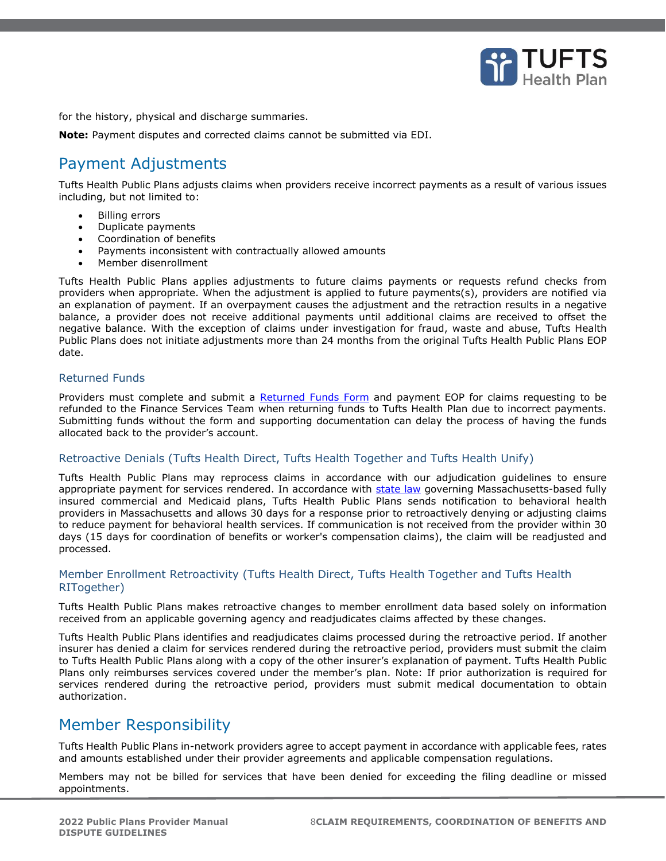

for the history, physical and discharge summaries.

**Note:** Payment disputes and corrected claims cannot be submitted via EDI.

## <span id="page-7-0"></span>Payment Adjustments

Tufts Health Public Plans adjusts claims when providers receive incorrect payments as a result of various issues including, but not limited to:

- **Billing errors**
- Duplicate payments
- Coordination of benefits
- Payments inconsistent with contractually allowed amounts
- Member disenrollment

Tufts Health Public Plans applies adjustments to future claims payments or requests refund checks from providers when appropriate. When the adjustment is applied to future payments(s), providers are notified via an explanation of payment. If an overpayment causes the adjustment and the retraction results in a negative balance, a provider does not receive additional payments until additional claims are received to offset the negative balance. With the exception of claims under investigation for fraud, waste and abuse, Tufts Health Public Plans does not initiate adjustments more than 24 months from the original Tufts Health Public Plans EOP date.

#### <span id="page-7-1"></span>Returned Funds

<span id="page-7-2"></span>Providers must complete and submit a [Returned Funds Form](https://tuftshealthplan.com/documents/providers/forms/returned-funds-form) and payment EOP for claims requesting to be refunded to the Finance Services Team when returning funds to Tufts Health Plan due to incorrect payments. Submitting funds without the form and supporting documentation can delay the process of having the funds allocated back to the provider's account.

#### Retroactive Denials (Tufts Health Direct, Tufts Health Together and Tufts Health Unify)

Tufts Health Public Plans may reprocess claims in accordance with our adjudication guidelines to ensure appropriate payment for services rendered. In accordance with [state law](https://malegislature.gov/Laws/SessionLaws/Acts/2019/Chapter41) governing Massachusetts-based fully insured commercial and Medicaid plans, Tufts Health Public Plans sends notification to behavioral health providers in Massachusetts and allows 30 days for a response prior to retroactively denying or adjusting claims to reduce payment for behavioral health services. If communication is not received from the provider within 30 days (15 days for coordination of benefits or worker's compensation claims), the claim will be readjusted and processed.

### <span id="page-7-3"></span>Member Enrollment Retroactivity (Tufts Health Direct, Tufts Health Together and Tufts Health RITogether)

Tufts Health Public Plans makes retroactive changes to member enrollment data based solely on information received from an applicable governing agency and readjudicates claims affected by these changes.

Tufts Health Public Plans identifies and readjudicates claims processed during the retroactive period. If another insurer has denied a claim for services rendered during the retroactive period, providers must submit the claim to Tufts Health Public Plans along with a copy of the other insurer's explanation of payment. Tufts Health Public Plans only reimburses services covered under the member's plan. Note: If prior authorization is required for services rendered during the retroactive period, providers must submit medical documentation to obtain authorization.

## <span id="page-7-4"></span>Member Responsibility

Tufts Health Public Plans in-network providers agree to accept payment in accordance with applicable fees, rates and amounts established under their provider agreements and applicable compensation regulations.

Members may not be billed for services that have been denied for exceeding the filing deadline or missed appointments.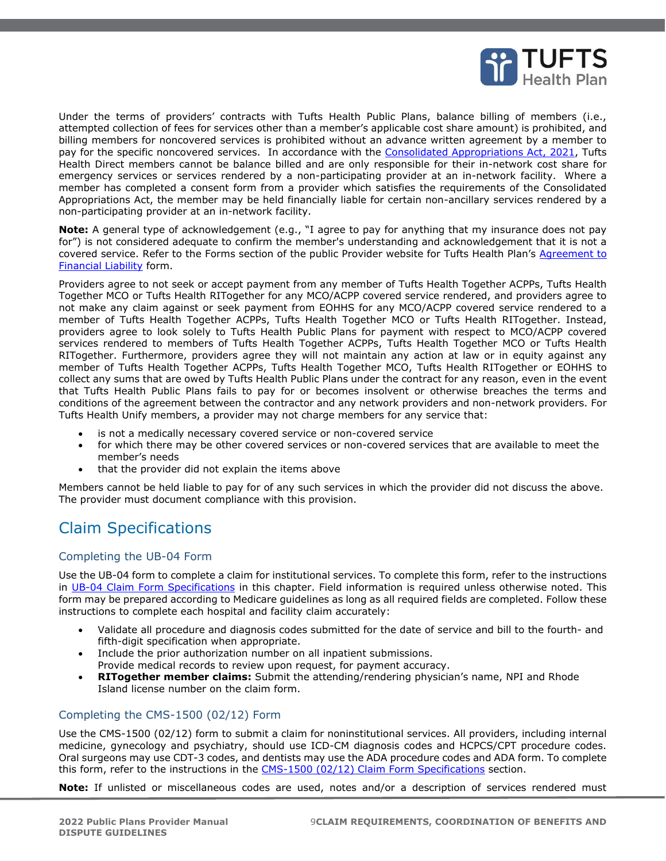

Under the terms of providers' contracts with Tufts Health Public Plans, balance billing of members (i.e., attempted collection of fees for services other than a member's applicable cost share amount) is prohibited, and billing members for noncovered services is prohibited without an advance written agreement by a member to pay for the specific noncovered services. In accordance with the [Consolidated Appropriations Act, 2021,](https://www.congress.gov/116/bills/hr133/BILLS-116hr133enr.pdf) Tufts Health Direct members cannot be balance billed and are only responsible for their in-network cost share for emergency services or services rendered by a non-participating provider at an in-network facility. Where a member has completed a consent form from a provider which satisfies the requirements of the Consolidated Appropriations Act, the member may be held financially liable for certain non-ancillary services rendered by a non-participating provider at an in-network facility.

**Note:** A general type of acknowledgement (e.g., "I agree to pay for anything that my insurance does not pay for") is not considered adequate to confirm the member's understanding and acknowledgement that it is not a covered service. Refer to the Forms section of the public Provider website for Tufts Health Plan's Agreement to [Financial Liability](https://tuftshealthplan.com/documents/providers/forms/agreement-to-financial-liability) form.

Providers agree to not seek or accept payment from any member of Tufts Health Together ACPPs, Tufts Health Together MCO or Tufts Health RITogether for any MCO/ACPP covered service rendered, and providers agree to not make any claim against or seek payment from EOHHS for any MCO/ACPP covered service rendered to a member of Tufts Health Together ACPPs, Tufts Health Together MCO or Tufts Health RITogether. Instead, providers agree to look solely to Tufts Health Public Plans for payment with respect to MCO/ACPP covered services rendered to members of Tufts Health Together ACPPs, Tufts Health Together MCO or Tufts Health RITogether. Furthermore, providers agree they will not maintain any action at law or in equity against any member of Tufts Health Together ACPPs, Tufts Health Together MCO, Tufts Health RITogether or EOHHS to collect any sums that are owed by Tufts Health Public Plans under the contract for any reason, even in the event that Tufts Health Public Plans fails to pay for or becomes insolvent or otherwise breaches the terms and conditions of the agreement between the contractor and any network providers and non-network providers. For Tufts Health Unify members, a provider may not charge members for any service that:

- is not a medically necessary covered service or non-covered service
- for which there may be other covered services or non-covered services that are available to meet the member's needs
- that the provider did not explain the items above

Members cannot be held liable to pay for of any such services in which the provider did not discuss the above. The provider must document compliance with this provision.

# <span id="page-8-0"></span>Claim Specifications

### <span id="page-8-1"></span>Completing the UB-04 Form

Use the UB-04 form to complete a claim for institutional services. To complete this form, refer to the instructions in [UB-04 Claim Form Specifications](#page-9-0) in this chapter. Field information is required unless otherwise noted. This form may be prepared according to Medicare guidelines as long as all required fields are completed. Follow these instructions to complete each hospital and facility claim accurately:

- Validate all procedure and diagnosis codes submitted for the date of service and bill to the fourth- and fifth-digit specification when appropriate.
- Include the prior authorization number on all inpatient submissions. Provide medical records to review upon request, for payment accuracy.
- **RITogether member claims:** Submit the attending/rendering physician's name, NPI and Rhode Island license number on the claim form.

### <span id="page-8-2"></span>Completing the CMS-1500 (02/12) Form

Use the CMS-1500 (02/12) form to submit a claim for noninstitutional services. All providers, including internal medicine, gynecology and psychiatry, should use ICD-CM diagnosis codes and HCPCS/CPT procedure codes. Oral surgeons may use CDT-3 codes, and dentists may use the ADA procedure codes and ADA form. To complete this form, refer to the instructions in the [CMS-1500 \(02/12\) Claim Form Specifications](#page-12-0) section.

**Note:** If unlisted or miscellaneous codes are used, notes and/or a description of services rendered must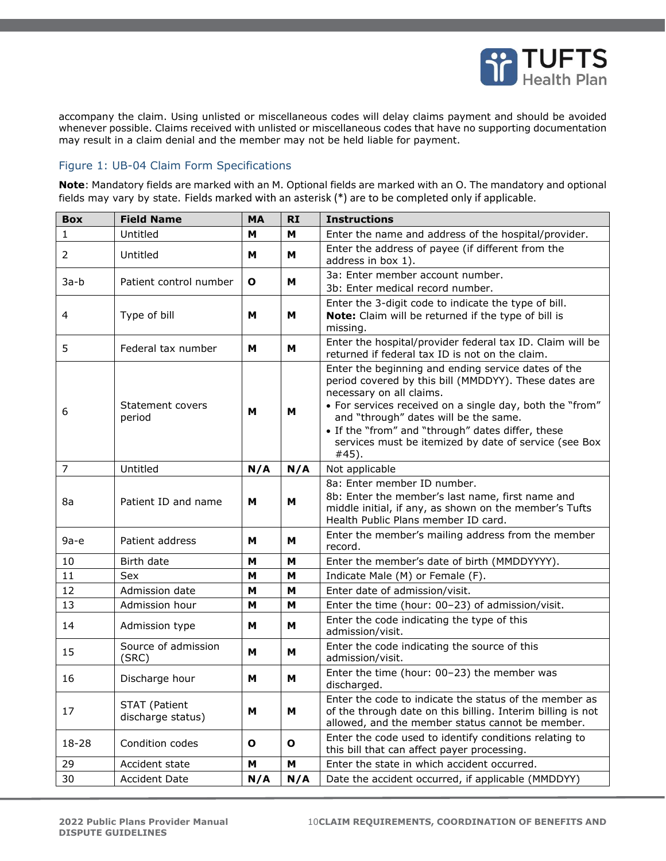

accompany the claim. Using unlisted or miscellaneous codes will delay claims payment and should be avoided whenever possible. Claims received with unlisted or miscellaneous codes that have no supporting documentation may result in a claim denial and the member may not be held liable for payment.

#### <span id="page-9-0"></span>Figure 1: UB-04 Claim Form Specifications

**Note**: Mandatory fields are marked with an M. Optional fields are marked with an O. The mandatory and optional fields may vary by state. Fields marked with an asterisk (\*) are to be completed only if applicable.

| <b>Box</b>     | <b>Field Name</b>                         | <b>MA</b>    | <b>RI</b>    | <b>Instructions</b>                                                                                                                                                                                                                                                                                                                                                  |
|----------------|-------------------------------------------|--------------|--------------|----------------------------------------------------------------------------------------------------------------------------------------------------------------------------------------------------------------------------------------------------------------------------------------------------------------------------------------------------------------------|
| 1              | Untitled                                  | м            | м            | Enter the name and address of the hospital/provider.                                                                                                                                                                                                                                                                                                                 |
| 2              | Untitled                                  | м            | M            | Enter the address of payee (if different from the<br>address in box 1).                                                                                                                                                                                                                                                                                              |
| $3a-b$         | Patient control number                    | $\mathbf{o}$ | м            | 3a: Enter member account number.<br>3b: Enter medical record number.                                                                                                                                                                                                                                                                                                 |
| 4              | Type of bill                              | М            | м            | Enter the 3-digit code to indicate the type of bill.<br>Note: Claim will be returned if the type of bill is<br>missing.                                                                                                                                                                                                                                              |
| 5              | Federal tax number                        | М            | м            | Enter the hospital/provider federal tax ID. Claim will be<br>returned if federal tax ID is not on the claim.                                                                                                                                                                                                                                                         |
| 6              | Statement covers<br>period                | M            | M            | Enter the beginning and ending service dates of the<br>period covered by this bill (MMDDYY). These dates are<br>necessary on all claims.<br>• For services received on a single day, both the "from"<br>and "through" dates will be the same.<br>• If the "from" and "through" dates differ, these<br>services must be itemized by date of service (see Box<br>#45). |
| $\overline{7}$ | Untitled                                  | N/A          | N/A          | Not applicable                                                                                                                                                                                                                                                                                                                                                       |
| 8a             | Patient ID and name                       | м            | м            | 8a: Enter member ID number.<br>8b: Enter the member's last name, first name and<br>middle initial, if any, as shown on the member's Tufts<br>Health Public Plans member ID card.                                                                                                                                                                                     |
| $9a-e$         | Patient address                           | м            | м            | Enter the member's mailing address from the member<br>record.                                                                                                                                                                                                                                                                                                        |
| 10             | Birth date                                | М            | M            | Enter the member's date of birth (MMDDYYYY).                                                                                                                                                                                                                                                                                                                         |
| 11             | Sex                                       | М            | M            | Indicate Male (M) or Female (F).                                                                                                                                                                                                                                                                                                                                     |
| 12             | Admission date                            | м            | м            | Enter date of admission/visit.                                                                                                                                                                                                                                                                                                                                       |
| 13             | Admission hour                            | М            | M            | Enter the time (hour: 00-23) of admission/visit.                                                                                                                                                                                                                                                                                                                     |
| 14             | Admission type                            | М            | м            | Enter the code indicating the type of this<br>admission/visit.                                                                                                                                                                                                                                                                                                       |
| 15             | Source of admission<br>(SRC)              | м            | M            | Enter the code indicating the source of this<br>admission/visit.                                                                                                                                                                                                                                                                                                     |
| 16             | Discharge hour                            | м            | M            | Enter the time (hour: 00-23) the member was<br>discharged.                                                                                                                                                                                                                                                                                                           |
| 17             | <b>STAT (Patient</b><br>discharge status) | M            | M            | Enter the code to indicate the status of the member as<br>of the through date on this billing. Interim billing is not<br>allowed, and the member status cannot be member.                                                                                                                                                                                            |
| 18-28          | Condition codes                           | O            | $\mathbf{o}$ | Enter the code used to identify conditions relating to<br>this bill that can affect payer processing.                                                                                                                                                                                                                                                                |
| 29             | Accident state                            | M            | M            | Enter the state in which accident occurred.                                                                                                                                                                                                                                                                                                                          |
| 30             | <b>Accident Date</b>                      | N/A          | N/A          | Date the accident occurred, if applicable (MMDDYY)                                                                                                                                                                                                                                                                                                                   |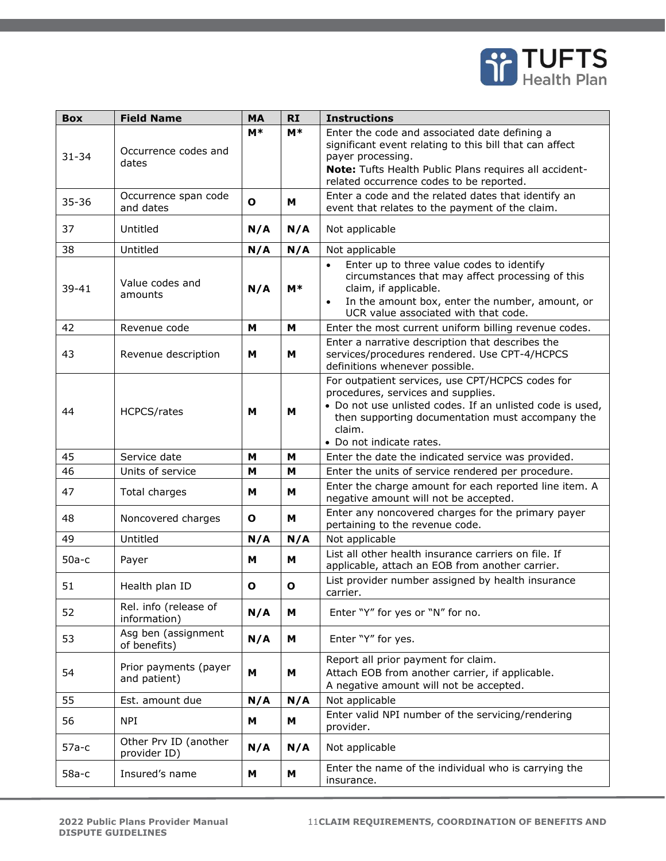

| <b>Box</b> | <b>Field Name</b>                     | <b>MA</b>    | <b>RI</b>   | <b>Instructions</b>                                                                                                                                                                                                                           |
|------------|---------------------------------------|--------------|-------------|-----------------------------------------------------------------------------------------------------------------------------------------------------------------------------------------------------------------------------------------------|
| $31 - 34$  | Occurrence codes and<br>dates         | $M*$         | $M^*$       | Enter the code and associated date defining a<br>significant event relating to this bill that can affect<br>payer processing.<br>Note: Tufts Health Public Plans requires all accident-<br>related occurrence codes to be reported.           |
| $35 - 36$  | Occurrence span code<br>and dates     | $\mathbf o$  | M           | Enter a code and the related dates that identify an<br>event that relates to the payment of the claim.                                                                                                                                        |
| 37         | Untitled                              | N/A          | N/A         | Not applicable                                                                                                                                                                                                                                |
| 38         | Untitled                              | N/A          | N/A         | Not applicable                                                                                                                                                                                                                                |
| $39 - 41$  | Value codes and<br>amounts            | N/A          | $M^*$       | Enter up to three value codes to identify<br>$\bullet$<br>circumstances that may affect processing of this<br>claim, if applicable.<br>In the amount box, enter the number, amount, or<br>$\bullet$<br>UCR value associated with that code.   |
| 42         | Revenue code                          | M            | M           | Enter the most current uniform billing revenue codes.                                                                                                                                                                                         |
| 43         | Revenue description                   | M            | M           | Enter a narrative description that describes the<br>services/procedures rendered. Use CPT-4/HCPCS<br>definitions whenever possible.                                                                                                           |
| 44         | <b>HCPCS/rates</b>                    | м            | M           | For outpatient services, use CPT/HCPCS codes for<br>procedures, services and supplies.<br>. Do not use unlisted codes. If an unlisted code is used,<br>then supporting documentation must accompany the<br>claim.<br>• Do not indicate rates. |
| 45         | Service date                          | м            | M           | Enter the date the indicated service was provided.                                                                                                                                                                                            |
| 46         | Units of service                      | М            | M           | Enter the units of service rendered per procedure.                                                                                                                                                                                            |
| 47         | Total charges                         | м            | м           | Enter the charge amount for each reported line item. A<br>negative amount will not be accepted.                                                                                                                                               |
| 48         | Noncovered charges                    | $\mathbf{o}$ | M           | Enter any noncovered charges for the primary payer<br>pertaining to the revenue code.                                                                                                                                                         |
| 49         | Untitled                              | N/A          | N/A         | Not applicable                                                                                                                                                                                                                                |
| $50a-c$    | Payer                                 | М            | M           | List all other health insurance carriers on file. If<br>applicable, attach an EOB from another carrier.                                                                                                                                       |
| 51         | Health plan ID                        | O            | $\mathbf o$ | List provider number assigned by health insurance<br>carrier.                                                                                                                                                                                 |
| 52         | Rel. info (release of<br>information) | N/A          | M           | Enter "Y" for yes or "N" for no.                                                                                                                                                                                                              |
| 53         | Asg ben (assignment<br>of benefits)   | N/A          | M           | Enter "Y" for yes.                                                                                                                                                                                                                            |
| 54         | Prior payments (payer<br>and patient) | М            | M           | Report all prior payment for claim.<br>Attach EOB from another carrier, if applicable.<br>A negative amount will not be accepted.                                                                                                             |
| 55         | Est. amount due                       | N/A          | N/A         | Not applicable                                                                                                                                                                                                                                |
| 56         | <b>NPI</b>                            | м            | M           | Enter valid NPI number of the servicing/rendering<br>provider.                                                                                                                                                                                |
| $57a-c$    | Other Prv ID (another<br>provider ID) | N/A          | N/A         | Not applicable                                                                                                                                                                                                                                |
| $58a-c$    | Insured's name                        | М            | M           | Enter the name of the individual who is carrying the<br>insurance.                                                                                                                                                                            |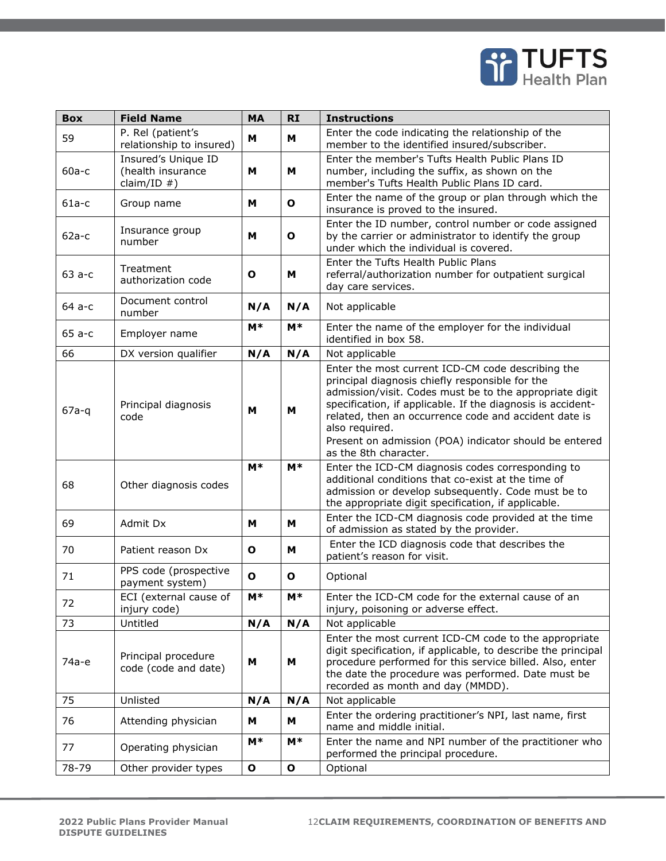

| <b>Box</b> | <b>Field Name</b>                                          | <b>MA</b>    | <b>RI</b>    | <b>Instructions</b>                                                                                                                                                                                                                                                                                                                                                                          |
|------------|------------------------------------------------------------|--------------|--------------|----------------------------------------------------------------------------------------------------------------------------------------------------------------------------------------------------------------------------------------------------------------------------------------------------------------------------------------------------------------------------------------------|
| 59         | P. Rel (patient's<br>relationship to insured)              | M            | M            | Enter the code indicating the relationship of the<br>member to the identified insured/subscriber.                                                                                                                                                                                                                                                                                            |
| $60a-c$    | Insured's Unique ID<br>(health insurance<br>claim/ID $#$ ) | M            | M            | Enter the member's Tufts Health Public Plans ID<br>number, including the suffix, as shown on the<br>member's Tufts Health Public Plans ID card.                                                                                                                                                                                                                                              |
| $61a-c$    | Group name                                                 | M            | $\mathbf{o}$ | Enter the name of the group or plan through which the<br>insurance is proved to the insured.                                                                                                                                                                                                                                                                                                 |
| $62a-c$    | Insurance group<br>number                                  | M            | $\mathbf o$  | Enter the ID number, control number or code assigned<br>by the carrier or administrator to identify the group<br>under which the individual is covered.                                                                                                                                                                                                                                      |
| $63a-c$    | Treatment<br>authorization code                            | O            | M            | Enter the Tufts Health Public Plans<br>referral/authorization number for outpatient surgical<br>day care services.                                                                                                                                                                                                                                                                           |
| 64 a-c     | Document control<br>number                                 | N/A          | N/A          | Not applicable                                                                                                                                                                                                                                                                                                                                                                               |
| $65a-c$    | Employer name                                              | $M^*$        | $M^*$        | Enter the name of the employer for the individual<br>identified in box 58.                                                                                                                                                                                                                                                                                                                   |
| 66         | DX version qualifier                                       | N/A          | N/A          | Not applicable                                                                                                                                                                                                                                                                                                                                                                               |
| $67a-q$    | Principal diagnosis<br>code                                | м            | M            | Enter the most current ICD-CM code describing the<br>principal diagnosis chiefly responsible for the<br>admission/visit. Codes must be to the appropriate digit<br>specification, if applicable. If the diagnosis is accident-<br>related, then an occurrence code and accident date is<br>also required.<br>Present on admission (POA) indicator should be entered<br>as the 8th character. |
| 68         | Other diagnosis codes                                      | $M*$         | $M*$         | Enter the ICD-CM diagnosis codes corresponding to<br>additional conditions that co-exist at the time of<br>admission or develop subsequently. Code must be to<br>the appropriate digit specification, if applicable.                                                                                                                                                                         |
| 69         | Admit Dx                                                   | M            | M            | Enter the ICD-CM diagnosis code provided at the time<br>of admission as stated by the provider.                                                                                                                                                                                                                                                                                              |
| 70         | Patient reason Dx                                          | $\mathbf o$  | M            | Enter the ICD diagnosis code that describes the<br>patient's reason for visit.                                                                                                                                                                                                                                                                                                               |
| 71         | PPS code (prospective<br>payment system)                   | O            | $\mathbf{o}$ | Optional                                                                                                                                                                                                                                                                                                                                                                                     |
| 72         | ECI (external cause of<br>injury code)                     | $M*$         | $M*$         | Enter the ICD-CM code for the external cause of an<br>injury, poisoning or adverse effect.                                                                                                                                                                                                                                                                                                   |
| 73         | Untitled                                                   | N/A          | N/A          | Not applicable                                                                                                                                                                                                                                                                                                                                                                               |
| 74а-е      | Principal procedure<br>code (code and date)                | M            | M            | Enter the most current ICD-CM code to the appropriate<br>digit specification, if applicable, to describe the principal<br>procedure performed for this service billed. Also, enter<br>the date the procedure was performed. Date must be<br>recorded as month and day (MMDD).                                                                                                                |
| 75         | Unlisted                                                   | N/A          | N/A          | Not applicable                                                                                                                                                                                                                                                                                                                                                                               |
| 76         | Attending physician                                        | м            | M            | Enter the ordering practitioner's NPI, last name, first<br>name and middle initial.                                                                                                                                                                                                                                                                                                          |
| 77         | Operating physician                                        | M*           | $M*$         | Enter the name and NPI number of the practitioner who<br>performed the principal procedure.                                                                                                                                                                                                                                                                                                  |
| 78-79      | Other provider types                                       | $\mathbf{o}$ | $\mathbf{o}$ | Optional                                                                                                                                                                                                                                                                                                                                                                                     |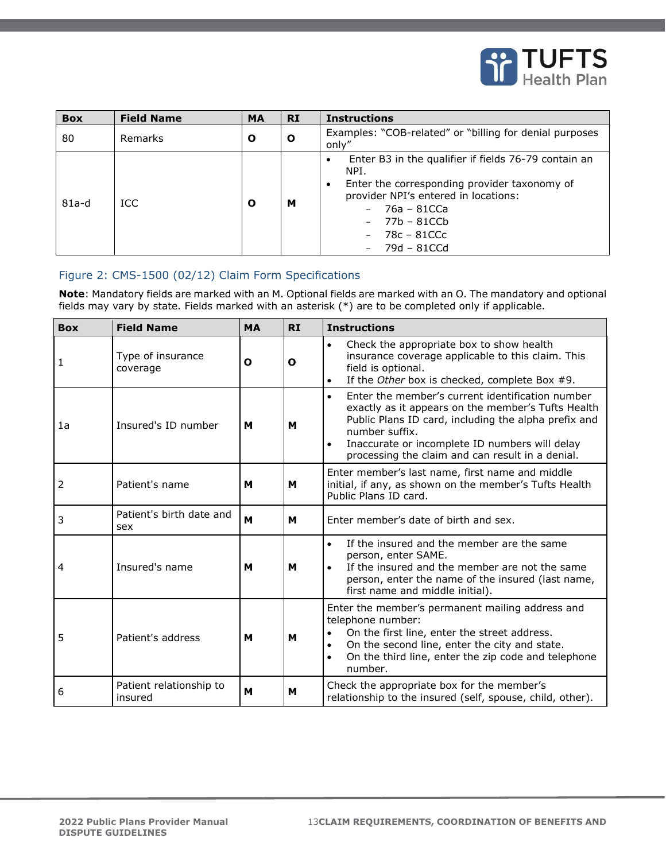

| <b>Box</b> | <b>Field Name</b> | <b>MA</b> | <b>RI</b>    | <b>Instructions</b>                                                                                                                                                                                              |
|------------|-------------------|-----------|--------------|------------------------------------------------------------------------------------------------------------------------------------------------------------------------------------------------------------------|
| 80         | Remarks           | Ο         | $\mathbf{o}$ | Examples: "COB-related" or "billing for denial purposes<br>only"                                                                                                                                                 |
| $81a-d$    | ICC.              | Ο         | м            | Enter B3 in the qualifier if fields 76-79 contain an<br>NPI.<br>Enter the corresponding provider taxonomy of<br>provider NPI's entered in locations:<br>76a - 81CCa<br>77b – 81CCb<br>78c – 81CCc<br>79d - 81CCd |

## <span id="page-12-0"></span>Figure 2: CMS-1500 (02/12) Claim Form Specifications

**Note**: Mandatory fields are marked with an M. Optional fields are marked with an O. The mandatory and optional fields may vary by state. Fields marked with an asterisk (\*) are to be completed only if applicable.

| <b>Box</b> | <b>Field Name</b>                  | <b>MA</b> | <b>RI</b> | <b>Instructions</b>                                                                                                                                                                                                                                                                                 |
|------------|------------------------------------|-----------|-----------|-----------------------------------------------------------------------------------------------------------------------------------------------------------------------------------------------------------------------------------------------------------------------------------------------------|
| 1          | Type of insurance<br>coverage      | O         | O         | Check the appropriate box to show health<br>$\bullet$<br>insurance coverage applicable to this claim. This<br>field is optional.<br>If the Other box is checked, complete Box #9.<br>$\bullet$                                                                                                      |
| 1a         | Insured's ID number                | м         | м         | Enter the member's current identification number<br>$\bullet$<br>exactly as it appears on the member's Tufts Health<br>Public Plans ID card, including the alpha prefix and<br>number suffix.<br>Inaccurate or incomplete ID numbers will delay<br>processing the claim and can result in a denial. |
| 2          | Patient's name                     | м         | м         | Enter member's last name, first name and middle<br>initial, if any, as shown on the member's Tufts Health<br>Public Plans ID card.                                                                                                                                                                  |
| 3          | Patient's birth date and<br>sex    | M         | M         | Enter member's date of birth and sex.                                                                                                                                                                                                                                                               |
| 4          | Insured's name                     | м         | м         | If the insured and the member are the same<br>$\bullet$<br>person, enter SAME.<br>If the insured and the member are not the same<br>person, enter the name of the insured (last name,<br>first name and middle initial).                                                                            |
| 5          | Patient's address                  | м         | M         | Enter the member's permanent mailing address and<br>telephone number:<br>On the first line, enter the street address.<br>$\bullet$<br>On the second line, enter the city and state.<br>$\bullet$<br>On the third line, enter the zip code and telephone<br>number.                                  |
| 6          | Patient relationship to<br>insured | M         | м         | Check the appropriate box for the member's<br>relationship to the insured (self, spouse, child, other).                                                                                                                                                                                             |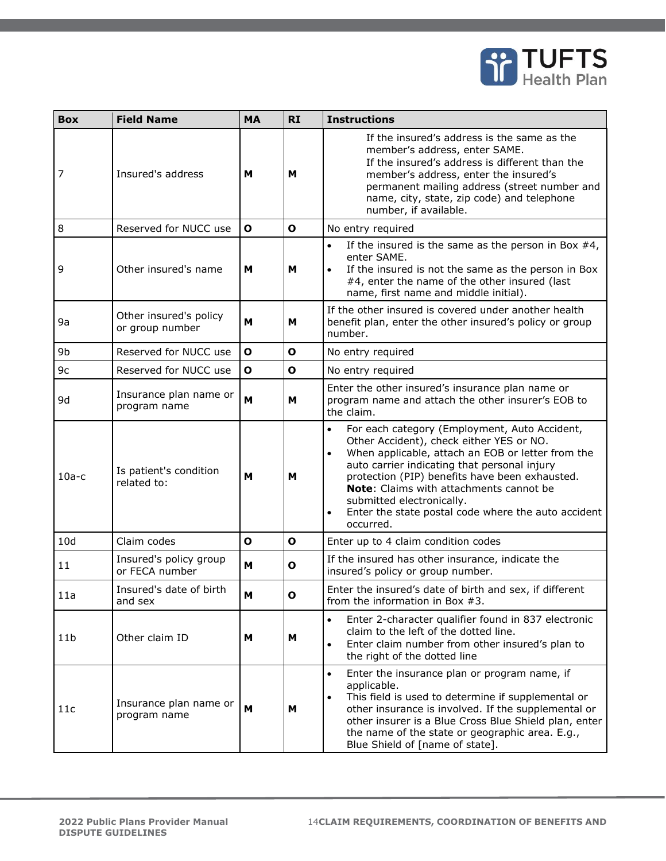

| <b>Box</b>      | <b>Field Name</b>                         | <b>MA</b>    | <b>RI</b>    | <b>Instructions</b>                                                                                                                                                                                                                                                                                                                                                                                       |
|-----------------|-------------------------------------------|--------------|--------------|-----------------------------------------------------------------------------------------------------------------------------------------------------------------------------------------------------------------------------------------------------------------------------------------------------------------------------------------------------------------------------------------------------------|
| 7               | Insured's address                         | M            | M            | If the insured's address is the same as the<br>member's address, enter SAME.<br>If the insured's address is different than the<br>member's address, enter the insured's<br>permanent mailing address (street number and<br>name, city, state, zip code) and telephone<br>number, if available.                                                                                                            |
| 8               | Reserved for NUCC use                     | $\mathbf{o}$ | $\mathbf{o}$ | No entry required                                                                                                                                                                                                                                                                                                                                                                                         |
| 9               | Other insured's name                      | M            | M            | If the insured is the same as the person in Box $#4$ ,<br>$\bullet$<br>enter SAME.<br>If the insured is not the same as the person in Box<br>$\bullet$<br>#4, enter the name of the other insured (last<br>name, first name and middle initial).                                                                                                                                                          |
| 9a              | Other insured's policy<br>or group number | M            | M            | If the other insured is covered under another health<br>benefit plan, enter the other insured's policy or group<br>number.                                                                                                                                                                                                                                                                                |
| 9b              | Reserved for NUCC use                     | $\mathbf{o}$ | $\mathbf{o}$ | No entry required                                                                                                                                                                                                                                                                                                                                                                                         |
| 9c              | Reserved for NUCC use                     | $\mathbf{o}$ | $\mathbf{o}$ | No entry required                                                                                                                                                                                                                                                                                                                                                                                         |
| 9d              | Insurance plan name or<br>program name    | M            | M            | Enter the other insured's insurance plan name or<br>program name and attach the other insurer's EOB to<br>the claim.                                                                                                                                                                                                                                                                                      |
| $10a-c$         | Is patient's condition<br>related to:     | M            | м            | For each category (Employment, Auto Accident,<br>Other Accident), check either YES or NO.<br>When applicable, attach an EOB or letter from the<br>$\bullet$<br>auto carrier indicating that personal injury<br>protection (PIP) benefits have been exhausted.<br>Note: Claims with attachments cannot be<br>submitted electronically.<br>Enter the state postal code where the auto accident<br>occurred. |
| 10d             | Claim codes                               | $\mathbf{o}$ | $\mathbf o$  | Enter up to 4 claim condition codes                                                                                                                                                                                                                                                                                                                                                                       |
| 11              | Insured's policy group<br>or FECA number  | M            | $\mathbf{o}$ | If the insured has other insurance, indicate the<br>insured's policy or group number.                                                                                                                                                                                                                                                                                                                     |
| 11a             | Insured's date of birth<br>and sex        | M            | Ο            | Enter the insured's date of birth and sex, if different<br>from the information in Box $#3$ .                                                                                                                                                                                                                                                                                                             |
| 11 <sub>b</sub> | Other claim ID                            | м            | м            | Enter 2-character qualifier found in 837 electronic<br>$\bullet$<br>claim to the left of the dotted line.<br>Enter claim number from other insured's plan to<br>the right of the dotted line                                                                                                                                                                                                              |
| 11c             | Insurance plan name or<br>program name    | M            | M            | Enter the insurance plan or program name, if<br>$\bullet$<br>applicable.<br>This field is used to determine if supplemental or<br>$\bullet$<br>other insurance is involved. If the supplemental or<br>other insurer is a Blue Cross Blue Shield plan, enter<br>the name of the state or geographic area. E.g.,<br>Blue Shield of [name of state].                                                         |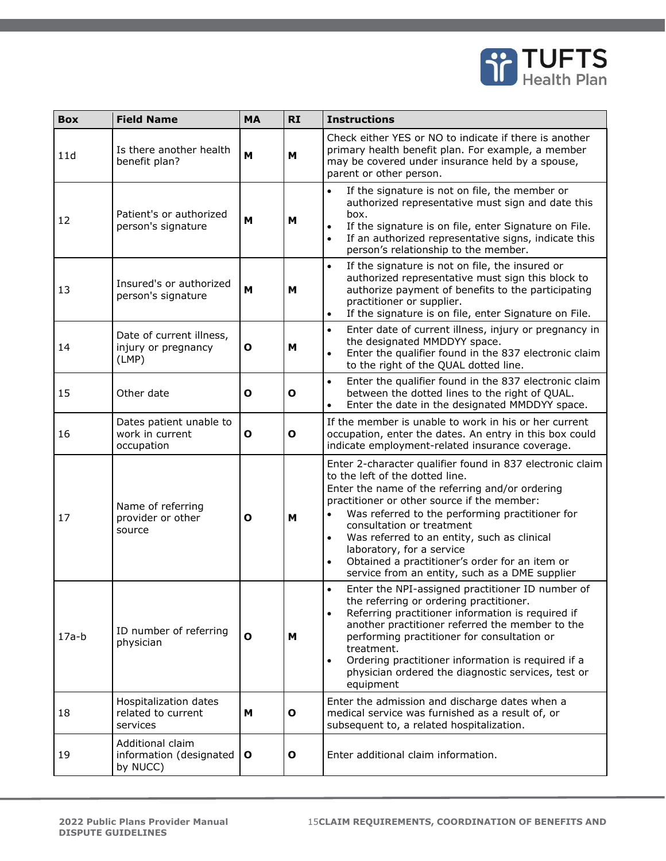

| <b>Box</b> | <b>Field Name</b>                                        | <b>MA</b>    | <b>RI</b>    | <b>Instructions</b>                                                                                                                                                                                                                                                                                                                                                                                                                                                                      |
|------------|----------------------------------------------------------|--------------|--------------|------------------------------------------------------------------------------------------------------------------------------------------------------------------------------------------------------------------------------------------------------------------------------------------------------------------------------------------------------------------------------------------------------------------------------------------------------------------------------------------|
| 11d        | Is there another health<br>benefit plan?                 | M            | M            | Check either YES or NO to indicate if there is another<br>primary health benefit plan. For example, a member<br>may be covered under insurance held by a spouse,<br>parent or other person.                                                                                                                                                                                                                                                                                              |
| 12         | Patient's or authorized<br>person's signature            | M            | M            | If the signature is not on file, the member or<br>$\bullet$<br>authorized representative must sign and date this<br>box.<br>If the signature is on file, enter Signature on File.<br>$\bullet$<br>If an authorized representative signs, indicate this<br>$\bullet$<br>person's relationship to the member.                                                                                                                                                                              |
| 13         | Insured's or authorized<br>person's signature            | M            | M            | If the signature is not on file, the insured or<br>$\bullet$<br>authorized representative must sign this block to<br>authorize payment of benefits to the participating<br>practitioner or supplier.<br>If the signature is on file, enter Signature on File.<br>$\bullet$                                                                                                                                                                                                               |
| 14         | Date of current illness,<br>injury or pregnancy<br>(LMP) | O            | M            | Enter date of current illness, injury or pregnancy in<br>$\bullet$<br>the designated MMDDYY space.<br>Enter the qualifier found in the 837 electronic claim<br>$\bullet$<br>to the right of the QUAL dotted line.                                                                                                                                                                                                                                                                        |
| 15         | Other date                                               | O            | $\mathbf{o}$ | Enter the qualifier found in the 837 electronic claim<br>$\bullet$<br>between the dotted lines to the right of QUAL.<br>Enter the date in the designated MMDDYY space.<br>$\bullet$                                                                                                                                                                                                                                                                                                      |
| 16         | Dates patient unable to<br>work in current<br>occupation | $\mathbf 0$  | $\mathbf{o}$ | If the member is unable to work in his or her current<br>occupation, enter the dates. An entry in this box could<br>indicate employment-related insurance coverage.                                                                                                                                                                                                                                                                                                                      |
| 17         | Name of referring<br>provider or other<br>source         | O            | M            | Enter 2-character qualifier found in 837 electronic claim<br>to the left of the dotted line.<br>Enter the name of the referring and/or ordering<br>practitioner or other source if the member:<br>Was referred to the performing practitioner for<br>consultation or treatment<br>Was referred to an entity, such as clinical<br>$\bullet$<br>laboratory, for a service<br>Obtained a practitioner's order for an item or<br>$\bullet$<br>service from an entity, such as a DME supplier |
| $17a-b$    | ID number of referring<br>physician                      | O            | м            | Enter the NPI-assigned practitioner ID number of<br>$\bullet$<br>the referring or ordering practitioner.<br>Referring practitioner information is required if<br>$\bullet$<br>another practitioner referred the member to the<br>performing practitioner for consultation or<br>treatment.<br>Ordering practitioner information is required if a<br>$\bullet$<br>physician ordered the diagnostic services, test or<br>equipment                                                         |
| 18         | Hospitalization dates<br>related to current<br>services  | м            | $\mathbf{o}$ | Enter the admission and discharge dates when a<br>medical service was furnished as a result of, or<br>subsequent to, a related hospitalization.                                                                                                                                                                                                                                                                                                                                          |
| 19         | Additional claim<br>information (designated<br>by NUCC)  | $\mathbf{o}$ | $\mathbf{o}$ | Enter additional claim information.                                                                                                                                                                                                                                                                                                                                                                                                                                                      |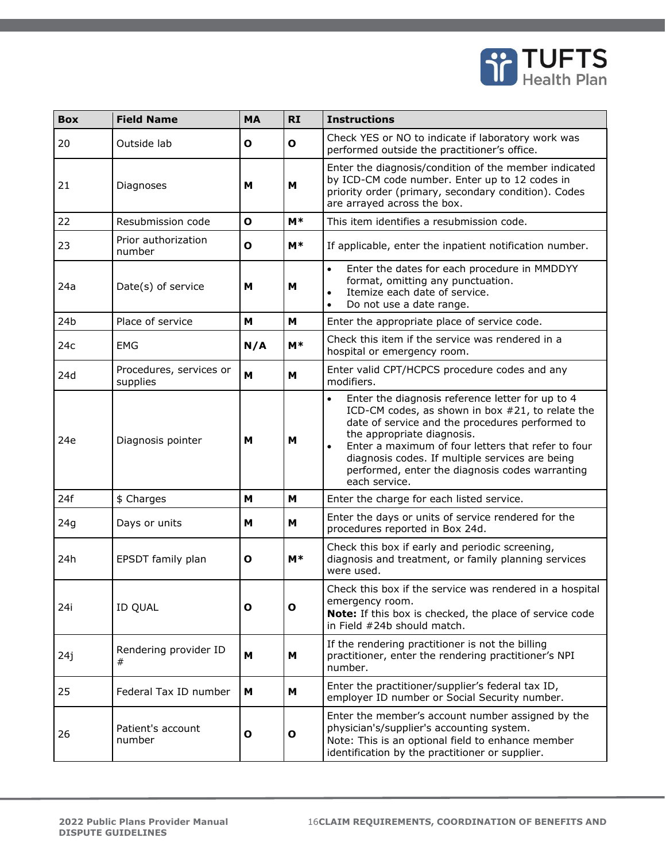

| <b>Box</b>      | <b>Field Name</b>                   | <b>MA</b> | <b>RI</b>    | <b>Instructions</b>                                                                                                                                                                                                                                                                                                                                                                          |
|-----------------|-------------------------------------|-----------|--------------|----------------------------------------------------------------------------------------------------------------------------------------------------------------------------------------------------------------------------------------------------------------------------------------------------------------------------------------------------------------------------------------------|
| 20              | Outside lab                         | O         | O            | Check YES or NO to indicate if laboratory work was<br>performed outside the practitioner's office.                                                                                                                                                                                                                                                                                           |
| 21              | Diagnoses                           | M         | M            | Enter the diagnosis/condition of the member indicated<br>by ICD-CM code number. Enter up to 12 codes in<br>priority order (primary, secondary condition). Codes<br>are arrayed across the box.                                                                                                                                                                                               |
| 22              | Resubmission code                   | O         | $M*$         | This item identifies a resubmission code.                                                                                                                                                                                                                                                                                                                                                    |
| 23              | Prior authorization<br>number       | O         | $M*$         | If applicable, enter the inpatient notification number.                                                                                                                                                                                                                                                                                                                                      |
| 24a             | Date(s) of service                  | M         | M            | Enter the dates for each procedure in MMDDYY<br>$\bullet$<br>format, omitting any punctuation.<br>Itemize each date of service.<br>$\bullet$<br>Do not use a date range.<br>$\bullet$                                                                                                                                                                                                        |
| 24 <sub>b</sub> | Place of service                    | М         | M            | Enter the appropriate place of service code.                                                                                                                                                                                                                                                                                                                                                 |
| 24c             | EMG                                 | N/A       | $M*$         | Check this item if the service was rendered in a<br>hospital or emergency room.                                                                                                                                                                                                                                                                                                              |
| 24d             | Procedures, services or<br>supplies | M         | M            | Enter valid CPT/HCPCS procedure codes and any<br>modifiers.                                                                                                                                                                                                                                                                                                                                  |
| 24e             | Diagnosis pointer                   | M         | M            | Enter the diagnosis reference letter for up to 4<br>$\bullet$<br>ICD-CM codes, as shown in box #21, to relate the<br>date of service and the procedures performed to<br>the appropriate diagnosis.<br>Enter a maximum of four letters that refer to four<br>$\bullet$<br>diagnosis codes. If multiple services are being<br>performed, enter the diagnosis codes warranting<br>each service. |
| 24f             | \$ Charges                          | M         | M            | Enter the charge for each listed service.                                                                                                                                                                                                                                                                                                                                                    |
| 24g             | Days or units                       | M         | M            | Enter the days or units of service rendered for the<br>procedures reported in Box 24d.                                                                                                                                                                                                                                                                                                       |
| 24h             | EPSDT family plan                   | О         | $M*$         | Check this box if early and periodic screening,<br>diagnosis and treatment, or family planning services<br>were used.                                                                                                                                                                                                                                                                        |
| 24i             | <b>ID QUAL</b>                      | o         | $\mathbf{o}$ | Check this box if the service was rendered in a hospital<br>emergency room.<br>Note: If this box is checked, the place of service code<br>in Field #24b should match.                                                                                                                                                                                                                        |
| 24j             | Rendering provider ID<br>#          | M         | М            | If the rendering practitioner is not the billing<br>practitioner, enter the rendering practitioner's NPI<br>number.                                                                                                                                                                                                                                                                          |
| 25              | Federal Tax ID number               | м         | м            | Enter the practitioner/supplier's federal tax ID,<br>employer ID number or Social Security number.                                                                                                                                                                                                                                                                                           |
| 26              | Patient's account<br>number         | O         | O            | Enter the member's account number assigned by the<br>physician's/supplier's accounting system.<br>Note: This is an optional field to enhance member<br>identification by the practitioner or supplier.                                                                                                                                                                                       |